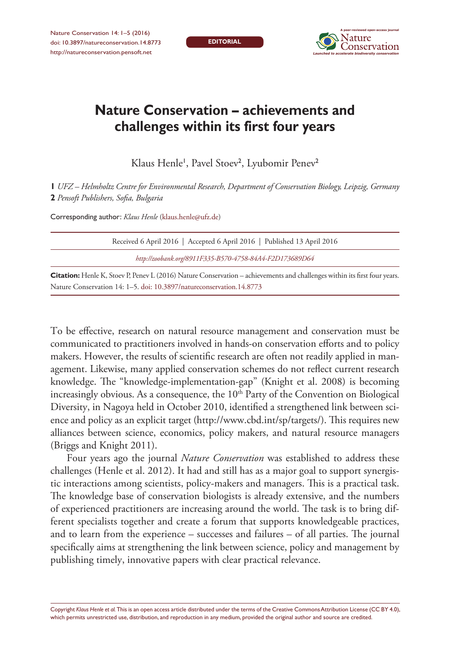**EDITORIAL**



## **Nature Conservation – achievements and challenges within its first four years**

Klaus Henle', Pavel Stoev<sup>2</sup>, Lyubomir Penev<sup>2</sup>

**1** *UFZ – Helmholtz Centre for Environmental Research, Department of Conservation Biology, Leipzig, Germany*  **2** *Pensoft Publishers, Sofia, Bulgaria*

Corresponding author: *Klaus Henle* ([klaus.henle@ufz.de](mailto:klaus.henle@ufz.de))

| Received 6 April 2016   Accepted 6 April 2016   Published 13 April 2016                                                                                                                                                                                                                         |
|-------------------------------------------------------------------------------------------------------------------------------------------------------------------------------------------------------------------------------------------------------------------------------------------------|
| http://zoobank.org/8911F335-B570-4758-84A4-F2D173689D64                                                                                                                                                                                                                                         |
| $\bigcap_{i=1}^{n}$ $\bigcup_{i=1}^{n} V$ , $\bigcap_{i=1}^{n} \bigcap_{i=1}^{n}$ $\bigcap_{i=1}^{n} \bigcap_{i=1}^{n} \bigcap_{i=1}^{n}$ $\bigcap_{i=1}^{n} \bigcap_{i=1}^{n}$ $\bigcap_{i=1}^{n} \bigcap_{i=1}^{n} \bigcap_{i=1}^{n}$ $\bigcap_{i=1}^{n} \bigcap_{i=1}^{n} \bigcap_{i=1}^{n}$ |

**Citation:** Henle K, Stoev P, Penev L (2016) Nature Conservation – achievements and challenges within its first four years. Nature Conservation 14: 1–5. [doi: 10.3897/natureconservation.14.8773](http://dx.doi.org/10.3897/natureconservation.14.8773)

To be effective, research on natural resource management and conservation must be communicated to practitioners involved in hands-on conservation efforts and to policy makers. However, the results of scientific research are often not readily applied in management. Likewise, many applied conservation schemes do not reflect current research knowledge. The "knowledge-implementation-gap" (Knight et al. 2008) is becoming increasingly obvious. As a consequence, the  $10<sup>th</sup>$  Party of the Convention on Biological Diversity, in Nagoya held in October 2010, identified a strengthened link between science and policy as an explicit target ([http://www.cbd.int/sp/targets/\)](http://www.cbd.int/sp/targets/). This requires new alliances between science, economics, policy makers, and natural resource managers (Briggs and Knight 2011).

Four years ago the journal *Nature Conservation* was established to address these challenges (Henle et al. 2012). It had and still has as a major goal to support synergistic interactions among scientists, policy-makers and managers. This is a practical task. The knowledge base of conservation biologists is already extensive, and the numbers of experienced practitioners are increasing around the world. The task is to bring different specialists together and create a forum that supports knowledgeable practices, and to learn from the experience – successes and failures – of all parties. The journal specifically aims at strengthening the link between science, policy and management by publishing timely, innovative papers with clear practical relevance.

Copyright *Klaus Henle et al.* This is an open access article distributed under the terms of the [Creative Commons Attribution License \(CC BY 4.0\),](http://creativecommons.org/licenses/by/4.0/) which permits unrestricted use, distribution, and reproduction in any medium, provided the original author and source are credited.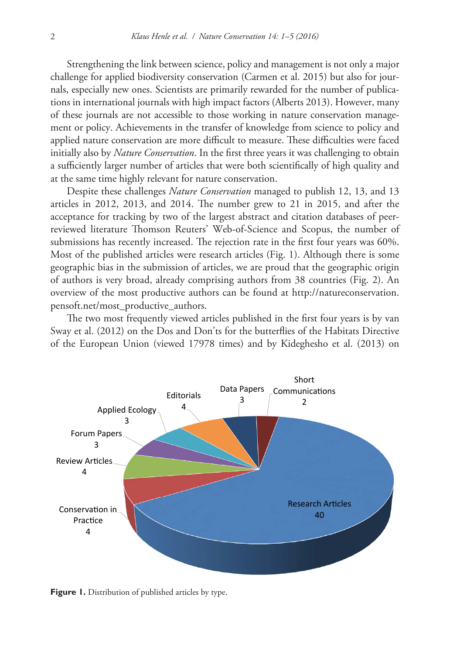Strengthening the link between science, policy and management is not only a major challenge for applied biodiversity conservation (Carmen et al. 2015) but also for journals, especially new ones. Scientists are primarily rewarded for the number of publications in international journals with high impact factors (Alberts 2013). However, many of these journals are not accessible to those working in nature conservation management or policy. Achievements in the transfer of knowledge from science to policy and applied nature conservation are more difficult to measure. These difficulties were faced initially also by *Nature Conservation*. In the first three years it was challenging to obtain a sufficiently larger number of articles that were both scientifically of high quality and at the same time highly relevant for nature conservation.

Despite these challenges *Nature Conservation* managed to publish 12, 13, and 13 articles in 2012, 2013, and 2014. The number grew to 21 in 2015, and after the acceptance for tracking by two of the largest abstract and citation databases of peerreviewed literature Thomson Reuters' Web-of-Science and Scopus, the number of submissions has recently increased. The rejection rate in the first four years was 60%. Most of the published articles were research articles (Fig. 1). Although there is some geographic bias in the submission of articles, we are proud that the geographic origin of authors is very broad, already comprising authors from 38 countries (Fig. 2). An overview of the most productive authors can be found at [http://natureconservation.](http://natureconservation.pensoft.net/most_productive_authors) [pensoft.net/most\\_productive\\_authors.](http://natureconservation.pensoft.net/most_productive_authors)

The two most frequently viewed articles published in the first four years is by van Sway et al. (2012) on the Dos and Don'ts for the butterflies of the Habitats Directive of the European Union (viewed 17978 times) and by Kideghesho et al. (2013) on



**Figure 1.** Distribution of published articles by type.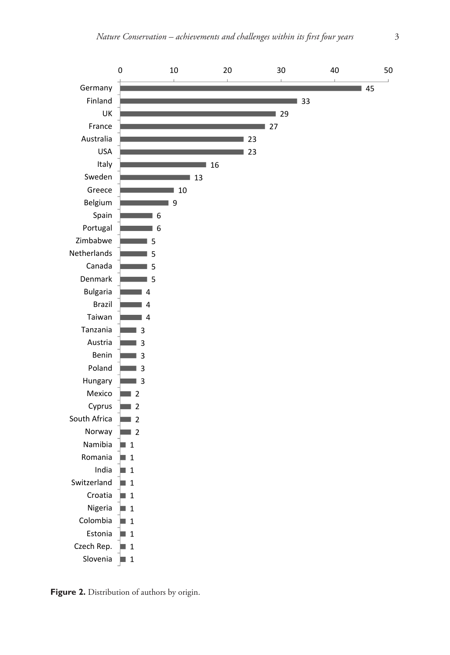

**Figure 2.** Distribution of authors by origin.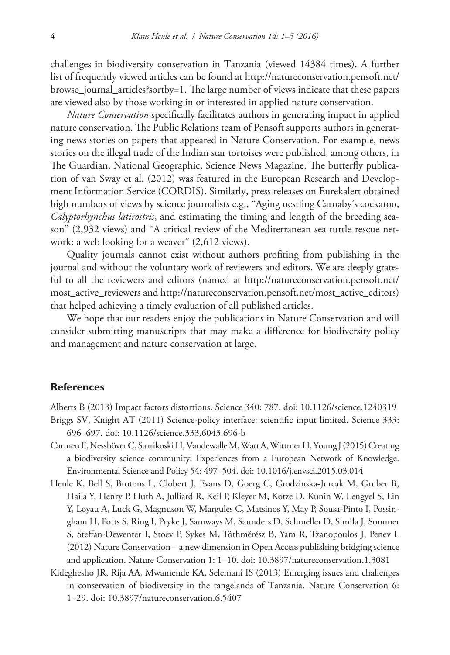challenges in biodiversity conservation in Tanzania (viewed 14384 times). A further list of frequently viewed articles can be found at [http://natureconservation.pensoft.net/](http://natureconservation.pensoft.net/browse_journal_articles?sortby=1) [browse\\_journal\\_articles?sortby=1.](http://natureconservation.pensoft.net/browse_journal_articles?sortby=1) The large number of views indicate that these papers are viewed also by those working in or interested in applied nature conservation.

*Nature Conservation* specifically facilitates authors in generating impact in applied nature conservation. The Public Relations team of Pensoft supports authors in generating news stories on papers that appeared in Nature Conservation. For example, news stories on the illegal trade of the Indian star tortoises were published, among others, in The Guardian, National Geographic, Science News Magazine. The butterfly publication of van Sway et al. (2012) was featured in the European Research and Development Information Service (CORDIS). Similarly, press releases on Eurekalert obtained high numbers of views by science journalists e.g., "Aging nestling Carnaby's cockatoo, *Calyptorhynchus latirostris*, and estimating the timing and length of the breeding season" (2,932 views) and "A critical review of the Mediterranean sea turtle rescue network: a web looking for a weaver" (2,612 views).

Quality journals cannot exist without authors profiting from publishing in the journal and without the voluntary work of reviewers and editors. We are deeply grateful to all the reviewers and editors (named at [http://natureconservation.pensoft.net/](http://natureconservation.pensoft.net/most_active_reviewers) [most\\_active\\_reviewers](http://natureconservation.pensoft.net/most_active_reviewers) and [http://natureconservation.pensoft.net/most\\_active\\_editors\)](http://natureconservation.pensoft.net/most_active_editors) that helped achieving a timely evaluation of all published articles.

We hope that our readers enjoy the publications in Nature Conservation and will consider submitting manuscripts that may make a difference for biodiversity policy and management and nature conservation at large.

## **References**

Alberts B (2013) Impact factors distortions. Science 340: 787. [doi: 10.1126/science.1240319](http://dx.doi.org/10.1126/science.1240319) Briggs SV, Knight AT (2011) Science-policy interface: scientific input limited. Science 333:

696–697. [doi: 10.1126/science.333.6043.696-b](http://dx.doi.org/10.1126/science.333.6043.696-b)

- Carmen E, Nesshöver C, Saarikoski H, Vandewalle M, Watt A, Wittmer H, Young J (2015) Creating a biodiversity science community: Experiences from a European Network of Knowledge. Environmental Science and Policy 54: 497–504. [doi: 10.1016/j.envsci.2015.03.014](http://dx.doi.org/10.1016/j.envsci.2015.03.014)
- Henle K, Bell S, Brotons L, Clobert J, Evans D, Goerg C, Grodzinska-Jurcak M, Gruber B, Haila Y, Henry P, Huth A, Julliard R, Keil P, Kleyer M, Kotze D, Kunin W, Lengyel S, Lin Y, Loyau A, Luck G, Magnuson W, Margules C, Matsinos Y, May P, Sousa-Pinto I, Possingham H, Potts S, Ring I, Pryke J, Samways M, Saunders D, Schmeller D, Simila J, Sommer S, Steffan-Dewenter I, Stoev P, Sykes M, Tóthmérész B, Yam R, Tzanopoulos J, Penev L (2012) Nature Conservation – a new dimension in Open Access publishing bridging science and application. Nature Conservation 1: 1–10. [doi: 10.3897/natureconservation.1.3081](http://dx.doi.org/10.3897/natureconservation.1.3081)
- Kideghesho JR, Rija AA, Mwamende KA, Selemani IS (2013) Emerging issues and challenges in conservation of biodiversity in the rangelands of Tanzania. Nature Conservation 6: 1–29. [doi: 10.3897/natureconservation.6.5407](http://dx.doi.org/10.3897/natureconservation.6.5407)